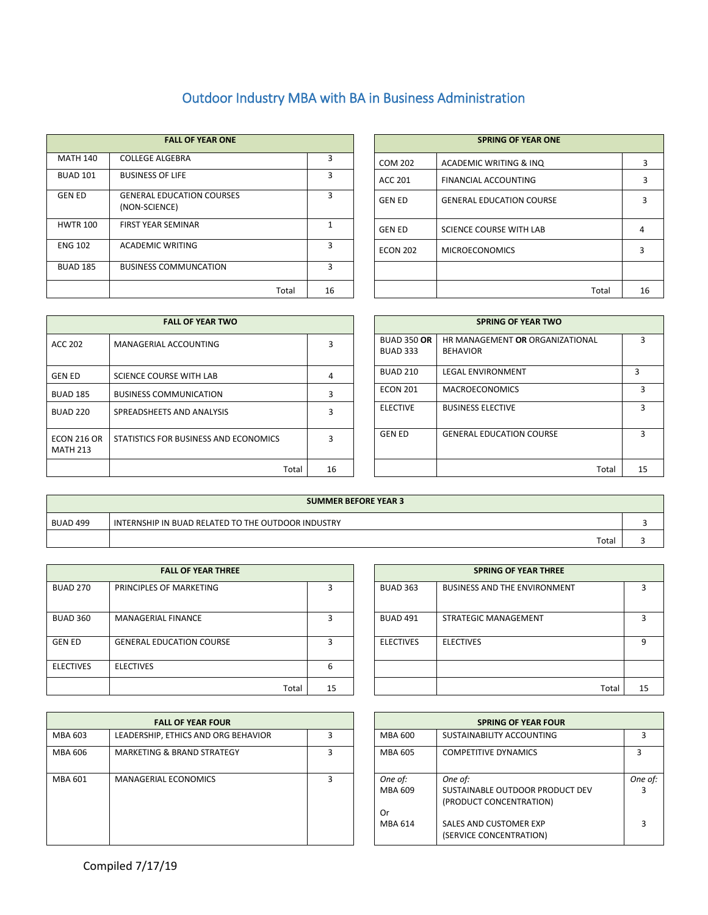## Outdoor Industry MBA with BA in Business Administration

|                 | <b>FALL OF YEAR ONE</b>                           |    |                 | <b>SPRING OF YEAR ONE</b>       |   |
|-----------------|---------------------------------------------------|----|-----------------|---------------------------------|---|
| <b>MATH 140</b> | <b>COLLEGE ALGEBRA</b>                            |    | COM 202         | ACADEMIC WRITING & INQ          |   |
| <b>BUAD 101</b> | <b>BUSINESS OF LIFE</b>                           |    | ACC 201         | FINANCIAL ACCOUNTING            |   |
| <b>GEN ED</b>   | <b>GENERAL EDUCATION COURSES</b><br>(NON-SCIENCE) |    | <b>GEN ED</b>   | <b>GENERAL EDUCATION COURSE</b> |   |
| <b>HWTR 100</b> | <b>FIRST YEAR SEMINAR</b>                         |    | <b>GEN ED</b>   | <b>SCIENCE COURSE WITH LAB</b>  | 4 |
| <b>ENG 102</b>  | <b>ACADEMIC WRITING</b>                           |    | <b>ECON 202</b> | <b>MICROECONOMICS</b>           |   |
| <b>BUAD 185</b> | <b>BUSINESS COMMUNCATION</b>                      | з  |                 |                                 |   |
|                 | Total                                             | 16 |                 | Total                           |   |

|       |    |                 | <b>SPRING OF YEAR ONE</b>       |    |
|-------|----|-----------------|---------------------------------|----|
|       | 3  | <b>COM 202</b>  | ACADEMIC WRITING & INQ          | 3  |
|       | 3  | <b>ACC 201</b>  | <b>FINANCIAL ACCOUNTING</b>     | 3  |
|       | 3  | <b>GEN ED</b>   | <b>GENERAL EDUCATION COURSE</b> | ੨  |
|       | 1  | <b>GEN ED</b>   | <b>SCIENCE COURSE WITH LAB</b>  | 4  |
|       | 3  | <b>ECON 202</b> | <b>MICROECONOMICS</b>           | 3  |
|       | 3  |                 |                                 |    |
| Total | 16 |                 | Total                           | 16 |

|                                       | <b>FALL OF YEAR TWO</b>               |    |                                       | <b>SPRING OF YEAR TWO</b>                          |   |
|---------------------------------------|---------------------------------------|----|---------------------------------------|----------------------------------------------------|---|
|                                       | MANAGERIAL ACCOUNTING                 |    | <b>BUAD 350 OR</b><br><b>BUAD 333</b> | HR MANAGEMENT OR ORGANIZATIONAL<br><b>BEHAVIOR</b> |   |
| <b>GEN ED</b>                         | SCIENCE COURSE WITH LAB               | 4  | <b>BUAD 210</b>                       | <b>LEGAL ENVIRONMENT</b>                           | ξ |
| <b>BUAD 185</b>                       | <b>BUSINESS COMMUNICATION</b>         |    | <b>ECON 201</b>                       | <b>MACROECONOMICS</b>                              |   |
| <b>BUAD 220</b>                       | SPREADSHEETS AND ANALYSIS             |    | <b>ELECTIVE</b>                       | <b>BUSINESS ELECTIVE</b>                           |   |
| <b>ECON 216 OR</b><br><b>MATH 213</b> | STATISTICS FOR BUSINESS AND ECONOMICS |    | <b>GEN ED</b>                         | <b>GENERAL EDUCATION COURSE</b>                    |   |
|                                       | Total                                 | 16 |                                       | Total                                              |   |

| <b>FALL OF YEAR TWO</b>               |    |                                       | <b>SPRING OF YEAR TWO</b>                          |  |
|---------------------------------------|----|---------------------------------------|----------------------------------------------------|--|
| MANAGERIAL ACCOUNTING                 |    | <b>BUAD 350 OR</b><br><b>BUAD 333</b> | HR MANAGEMENT OR ORGANIZATIONAL<br><b>BEHAVIOR</b> |  |
| SCIENCE COURSE WITH LAB               | 4  | <b>BUAD 210</b>                       | <b>LEGAL ENVIRONMENT</b>                           |  |
| <b>BUSINESS COMMUNICATION</b>         |    | <b>ECON 201</b>                       | <b>MACROECONOMICS</b>                              |  |
| SPREADSHEETS AND ANALYSIS             |    | <b>ELECTIVE</b>                       | <b>BUSINESS ELECTIVE</b>                           |  |
| STATISTICS FOR BUSINESS AND ECONOMICS |    | <b>GEN ED</b>                         | <b>GENERAL EDUCATION COURSE</b>                    |  |
| Total                                 | 16 |                                       | Total                                              |  |

|                 | <b>SUMMER BEFORE YEAR 3</b>                        |  |  |  |  |  |  |
|-----------------|----------------------------------------------------|--|--|--|--|--|--|
| <b>BUAD 499</b> | INTERNSHIP IN BUAD RELATED TO THE OUTDOOR INDUSTRY |  |  |  |  |  |  |
|                 | Total                                              |  |  |  |  |  |  |

|                  | <b>FALL OF YEAR THREE</b>       |    | <b>SPRING OF YEAR THREE</b> |                                     |    |
|------------------|---------------------------------|----|-----------------------------|-------------------------------------|----|
| <b>BUAD 270</b>  | PRINCIPLES OF MARKETING         | ς  | <b>BUAD 363</b>             | <b>BUSINESS AND THE ENVIRONMENT</b> |    |
| <b>BUAD 360</b>  | MANAGERIAL FINANCE              | ર  | BUAD 491                    | STRATEGIC MANAGEMENT                |    |
| <b>GEN ED</b>    | <b>GENERAL EDUCATION COURSE</b> | ς  | <b>ELECTIVES</b>            | <b>ELECTIVES</b>                    |    |
| <b>ELECTIVES</b> | <b>ELECTIVES</b>                | 6  |                             |                                     |    |
|                  | Total                           | 15 |                             | Total                               | 1! |

|         | <b>FALL OF YEAR FOUR</b>              |  | <b>SPRING OF YEAR FOUR</b> |                                                                       |                 |
|---------|---------------------------------------|--|----------------------------|-----------------------------------------------------------------------|-----------------|
| MBA 603 | LEADERSHIP, ETHICS AND ORG BEHAVIOR   |  | MBA 600                    | SUSTAINABILITY ACCOUNTING                                             |                 |
| MBA 606 | <b>MARKETING &amp; BRAND STRATEGY</b> |  | MBA 605                    | <b>COMPETITIVE DYNAMICS</b>                                           | 3               |
| MBA 601 | <b>MANAGERIAL ECONOMICS</b>           |  | One of:<br>MBA 609<br>Or   | One of:<br>SUSTAINABLE OUTDOOR PRODUCT DEV<br>(PRODUCT CONCENTRATION) | <b>One</b><br>3 |
|         |                                       |  | MBA 614                    | SALES AND CUSTOMER EXP<br>(SERVICE CONCENTRATION)                     |                 |

|       |    | <b>SPRING OF YEAR THREE</b> |                                     |       |    |  |  |  |  |
|-------|----|-----------------------------|-------------------------------------|-------|----|--|--|--|--|
|       | 3  | <b>BUAD 363</b>             | <b>BUSINESS AND THE ENVIRONMENT</b> |       |    |  |  |  |  |
|       | ς  | <b>BUAD 491</b>             | STRATEGIC MANAGEMENT                |       |    |  |  |  |  |
|       | 3  | <b>ELECTIVES</b>            | <b>ELECTIVES</b>                    |       | q  |  |  |  |  |
|       | 6  |                             |                                     |       |    |  |  |  |  |
| Total | 15 |                             |                                     | Total | 15 |  |  |  |  |

| <b>SPRING OF YEAR FOUR</b> |                                 |         |  |  |  |  |  |  |  |
|----------------------------|---------------------------------|---------|--|--|--|--|--|--|--|
| MBA 600                    | SUSTAINABILITY ACCOUNTING       |         |  |  |  |  |  |  |  |
| MBA 605                    | <b>COMPETITIVE DYNAMICS</b>     | 3       |  |  |  |  |  |  |  |
| One of:                    | One of:                         | One of: |  |  |  |  |  |  |  |
| MBA 609                    | SUSTAINABLE OUTDOOR PRODUCT DEV |         |  |  |  |  |  |  |  |
|                            | (PRODUCT CONCENTRATION)         |         |  |  |  |  |  |  |  |
| Or                         |                                 |         |  |  |  |  |  |  |  |
| MBA 614                    | SALES AND CUSTOMER EXP          | ξ       |  |  |  |  |  |  |  |
|                            | (SERVICE CONCENTRATION)         |         |  |  |  |  |  |  |  |